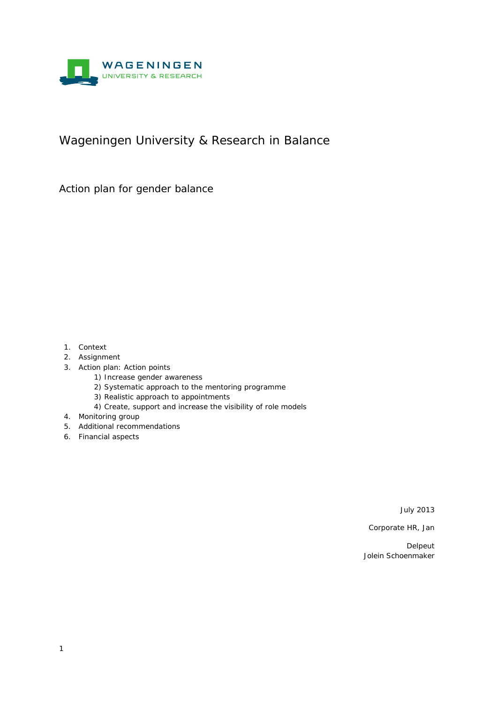

## Wageningen University & Research in Balance

Action plan for gender balance

- 1. Context
- 2. Assignment
- 3. Action plan: Action points
	- 1) Increase gender awareness
	- 2) Systematic approach to the mentoring programme
	- 3) Realistic approach to appointments
	- 4) Create, support and increase the visibility of role models
- 4. Monitoring group
- 5. Additional recommendations
- 6. Financial aspects

July 2013

Corporate HR, Jan

Delpeut Jolein Schoenmaker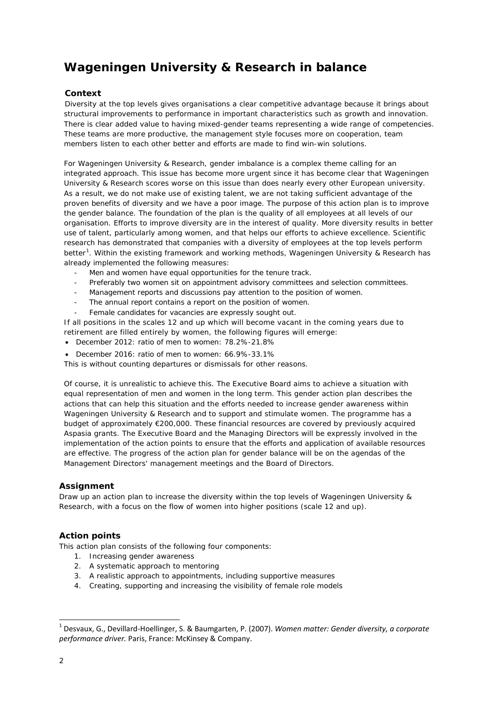# **Wageningen University & Research in balance**

## **Context**

Diversity at the top levels gives organisations a clear competitive advantage because it brings about structural improvements to performance in important characteristics such as growth and innovation. There is clear added value to having mixed-gender teams representing a wide range of competencies. These teams are more productive, the management style focuses more on cooperation, team members listen to each other better and efforts are made to find win-win solutions.

For Wageningen University & Research, gender imbalance is a complex theme calling for an integrated approach. This issue has become more urgent since it has become clear that Wageningen University & Research scores worse on this issue than does nearly every other European university. As a result, we do not make use of existing talent, we are not taking sufficient advantage of the proven benefits of diversity and we have a poor image. The purpose of this action plan is to improve the gender balance. The foundation of the plan is the quality of all employees at all levels of our organisation. Efforts to improve diversity are in the interest of quality. More diversity results in better use of talent, particularly among women, and that helps our efforts to achieve excellence. Scientific research has demonstrated that companies with a diversity of employees at the top levels perform better<sup>[1](#page-1-0)</sup>. Within the existing framework and working methods, Wageningen University & Research has already implemented the following measures:

- Men and women have equal opportunities for the tenure track.
- Preferably two women sit on appointment advisory committees and selection committees.
- Management reports and discussions pay attention to the position of women.
- The annual report contains a report on the position of women.
- Female candidates for vacancies are expressly sought out.

If all positions in the scales 12 and up which will become vacant in the coming years due to retirement are filled entirely by women, the following figures will emerge:

- December 2012: ratio of men to women: 78.2%-21.8%
- December 2016: ratio of men to women: 66.9%-33.1%

This is without counting departures or dismissals for other reasons.

Of course, it is unrealistic to achieve this. The Executive Board aims to achieve a situation with equal representation of men and women in the long term. This gender action plan describes the actions that can help this situation and the efforts needed to increase gender awareness within Wageningen University & Research and to support and stimulate women. The programme has a budget of approximately €200,000. These financial resources are covered by previously acquired Aspasia grants. The Executive Board and the Managing Directors will be expressly involved in the implementation of the action points to ensure that the efforts and application of available resources are effective. The progress of the action plan for gender balance will be on the agendas of the Management Directors' management meetings and the Board of Directors.

#### **Assignment**

Draw up an action plan to increase the diversity within the top levels of Wageningen University & Research, with a focus on the flow of women into higher positions (scale 12 and up).

## **Action points**

This action plan consists of the following four components:

- 1. Increasing gender awareness
- 2. A systematic approach to mentoring
- 3. A realistic approach to appointments, including supportive measures
- 4. Creating, supporting and increasing the visibility of female role models

<span id="page-1-0"></span><sup>1</sup> Desvaux, G., Devillard-Hoellinger, S. & Baumgarten, P. (2007). *Women matter: Gender diversity, a corporate performance driver.* Paris, France: McKinsey & Company.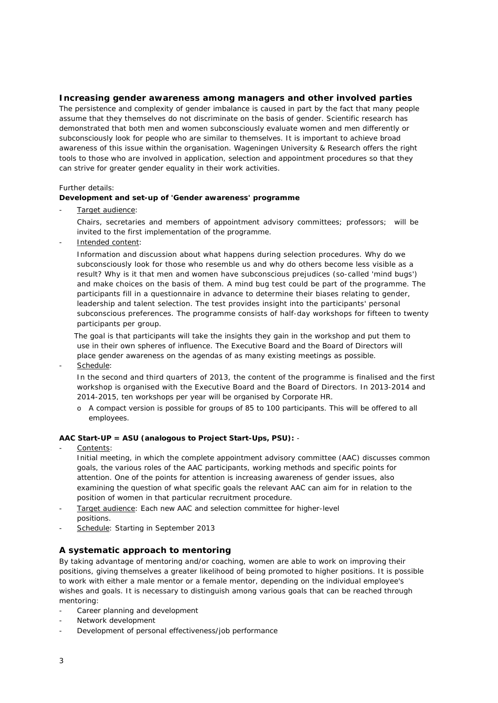## *Increasing gender awareness among managers and other involved parties*

The persistence and complexity of gender imbalance is caused in part by the fact that many people assume that they themselves do not discriminate on the basis of gender. Scientific research has demonstrated that both men and women subconsciously evaluate women and men differently or subconsciously look for people who are similar to themselves. It is important to achieve broad awareness of this issue within the organisation. Wageningen University & Research offers the right tools to those who are involved in application, selection and appointment procedures so that they can strive for greater gender equality in their work activities.

#### Further details:

#### *Development and set-up of 'Gender awareness' programme*

Target audience:

Chairs, secretaries and members of appointment advisory committees; professors; will be invited to the first implementation of the programme.

Intended content:

Information and discussion about what happens during selection procedures. Why do we subconsciously look for those who resemble us and why do others become less visible as a result? Why is it that men and women have subconscious prejudices (so-called 'mind bugs') and make choices on the basis of them. A mind bug test could be part of the programme. The participants fill in a questionnaire in advance to determine their biases relating to gender, leadership and talent selection. The test provides insight into the participants' personal subconscious preferences. The programme consists of half-day workshops for fifteen to twenty participants per group.

The goal is that participants will take the insights they gain in the workshop and put them to use in their own spheres of influence. The Executive Board and the Board of Directors will place gender awareness on the agendas of as many existing meetings as possible.

Schedule:

In the second and third quarters of 2013, the content of the programme is finalised and the first workshop is organised with the Executive Board and the Board of Directors. In 2013-2014 and 2014-2015, ten workshops per year will be organised by Corporate HR.

o A compact version is possible for groups of 85 to 100 participants. This will be offered to all employees.

#### *AAC Start-UP = ASU (analogous to Project Start-Ups, PSU):* -

Contents:

Initial meeting, in which the complete appointment advisory committee (AAC) discusses common goals, the various roles of the AAC participants, working methods and specific points for attention. One of the points for attention is increasing awareness of gender issues, also examining the question of what specific goals the relevant AAC can aim for in relation to the position of women in that particular recruitment procedure.

- Target audience: Each new AAC and selection committee for higher-level positions.
- Schedule: Starting in September 2013

## *A systematic approach to mentoring*

By taking advantage of mentoring and/or coaching, women are able to work on improving their positions, giving themselves a greater likelihood of being promoted to higher positions. It is possible to work with either a male mentor or a female mentor, depending on the individual employee's wishes and goals. It is necessary to distinguish among various goals that can be reached through mentoring:

- Career planning and development
- Network development
- Development of personal effectiveness/job performance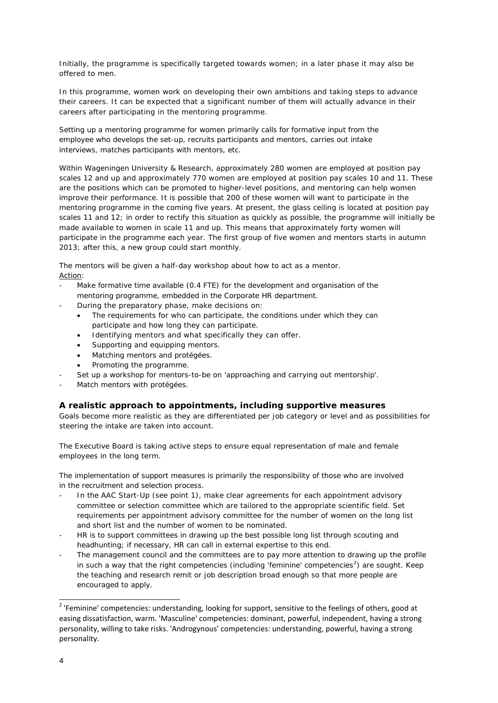Initially, the programme is specifically targeted towards women; in a later phase it may also be offered to men.

In this programme, women work on developing their own ambitions and taking steps to advance their careers. It can be expected that a significant number of them will actually advance in their careers after participating in the mentoring programme.

Setting up a mentoring programme for women primarily calls for formative input from the employee who develops the set-up, recruits participants and mentors, carries out intake interviews, matches participants with mentors, etc.

Within Wageningen University & Research, approximately 280 women are employed at position pay scales 12 and up and approximately 770 women are employed at position pay scales 10 and 11. These are the positions which can be promoted to higher-level positions, and mentoring can help women improve their performance. It is possible that 200 of these women will want to participate in the mentoring programme in the coming five years. At present, the glass ceiling is located at position pay scales 11 and 12; in order to rectify this situation as quickly as possible, the programme will initially be made available to women in scale 11 and up. This means that approximately forty women will participate in the programme each year. The first group of five women and mentors starts in autumn 2013; after this, a new group could start monthly.

The mentors will be given a half-day workshop about how to act as a mentor. Action:

- Make formative time available (0.4 FTE) for the development and organisation of the mentoring programme, embedded in the Corporate HR department.
	- During the preparatory phase, make decisions on:
		- The requirements for who can participate, the conditions under which they can participate and how long they can participate.
		- Identifying mentors and what specifically they can offer.
		- Supporting and equipping mentors.
		- Matching mentors and protégées.
		- Promoting the programme.
	- Set up a workshop for mentors-to-be on 'approaching and carrying out mentorship'.
- Match mentors with protégées.

## *A realistic approach to appointments, including supportive measures*

Goals become more realistic as they are differentiated per job category or level and as possibilities for steering the intake are taken into account.

The Executive Board is taking active steps to ensure equal representation of male and female employees in the long term.

The implementation of support measures is primarily the responsibility of those who are involved in the recruitment and selection process.

- In the AAC Start-Up (see point 1), make clear agreements for each appointment advisory committee or selection committee which are tailored to the appropriate scientific field. Set requirements per appointment advisory committee for the number of women on the long list and short list and the number of women to be nominated.
- HR is to support committees in drawing up the best possible long list through scouting and headhunting; if necessary, HR can call in external expertise to this end.
- The management council and the committees are to pay more attention to drawing up the profile in such a way that the right competencies (including 'feminine' competencies<sup>[2](#page-3-0)</sup>) are sought. Keep the teaching and research remit or job description broad enough so that more people are encouraged to apply.

<span id="page-3-0"></span><sup>&</sup>lt;sup>2</sup> 'Feminine' competencies: understanding, looking for support, sensitive to the feelings of others, good at easing dissatisfaction, warm. 'Masculine' competencies: dominant, powerful, independent, having a strong personality, willing to take risks. 'Androgynous' competencies: understanding, powerful, having a strong personality.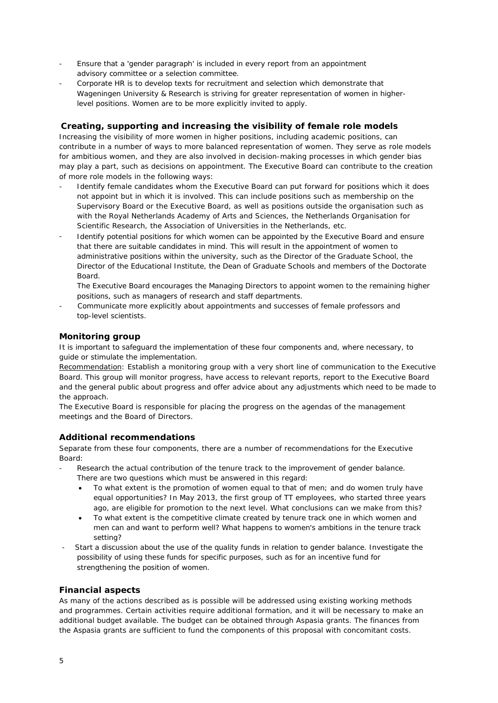- Ensure that a 'gender paragraph' is included in every report from an appointment advisory committee or a selection committee.
- Corporate HR is to develop texts for recruitment and selection which demonstrate that Wageningen University & Research is striving for greater representation of women in higherlevel positions. Women are to be more explicitly invited to apply.

## *Creating, supporting and increasing the visibility of female role models*

Increasing the visibility of more women in higher positions, including academic positions, can contribute in a number of ways to more balanced representation of women. They serve as role models for ambitious women, and they are also involved in decision-making processes in which gender bias may play a part, such as decisions on appointment. The Executive Board can contribute to the creation of more role models in the following ways:

- Identify female candidates whom the Executive Board can put forward for positions which it does not appoint but in which it is involved. This can include positions such as membership on the Supervisory Board or the Executive Board, as well as positions outside the organisation such as with the Royal Netherlands Academy of Arts and Sciences, the Netherlands Organisation for Scientific Research, the Association of Universities in the Netherlands, etc.
- Identify potential positions for which women can be appointed by the Executive Board and ensure that there are suitable candidates in mind. This will result in the appointment of women to administrative positions within the university, such as the Director of the Graduate School, the Director of the Educational Institute, the Dean of Graduate Schools and members of the Doctorate Board.

The Executive Board encourages the Managing Directors to appoint women to the remaining higher positions, such as managers of research and staff departments.

- Communicate more explicitly about appointments and successes of female professors and top-level scientists.

### *Monitoring group*

It is important to safeguard the implementation of these four components and, where necessary, to guide or stimulate the implementation.

Recommendation: Establish a monitoring group with a very short line of communication to the Executive Board. This group will monitor progress, have access to relevant reports, report to the Executive Board and the general public about progress and offer advice about any adjustments which need to be made to the approach.

The Executive Board is responsible for placing the progress on the agendas of the management meetings and the Board of Directors.

## *Additional recommendations*

Separate from these four components, there are a number of recommendations for the Executive Board:

- Research the actual contribution of the tenure track to the improvement of gender balance. There are two questions which must be answered in this regard:
	- To what extent is the promotion of women equal to that of men; and do women truly have equal opportunities? In May 2013, the first group of TT employees, who started three years ago, are eligible for promotion to the next level. What conclusions can we make from this?
	- To what extent is the competitive climate created by tenure track one in which women and men can and want to perform well? What happens to women's ambitions in the tenure track setting?
- Start a discussion about the use of the quality funds in relation to gender balance. Investigate the possibility of using these funds for specific purposes, such as for an incentive fund for strengthening the position of women.

## *Financial aspects*

As many of the actions described as is possible will be addressed using existing working methods and programmes. Certain activities require additional formation, and it will be necessary to make an additional budget available. The budget can be obtained through Aspasia grants. The finances from the Aspasia grants are sufficient to fund the components of this proposal with concomitant costs.